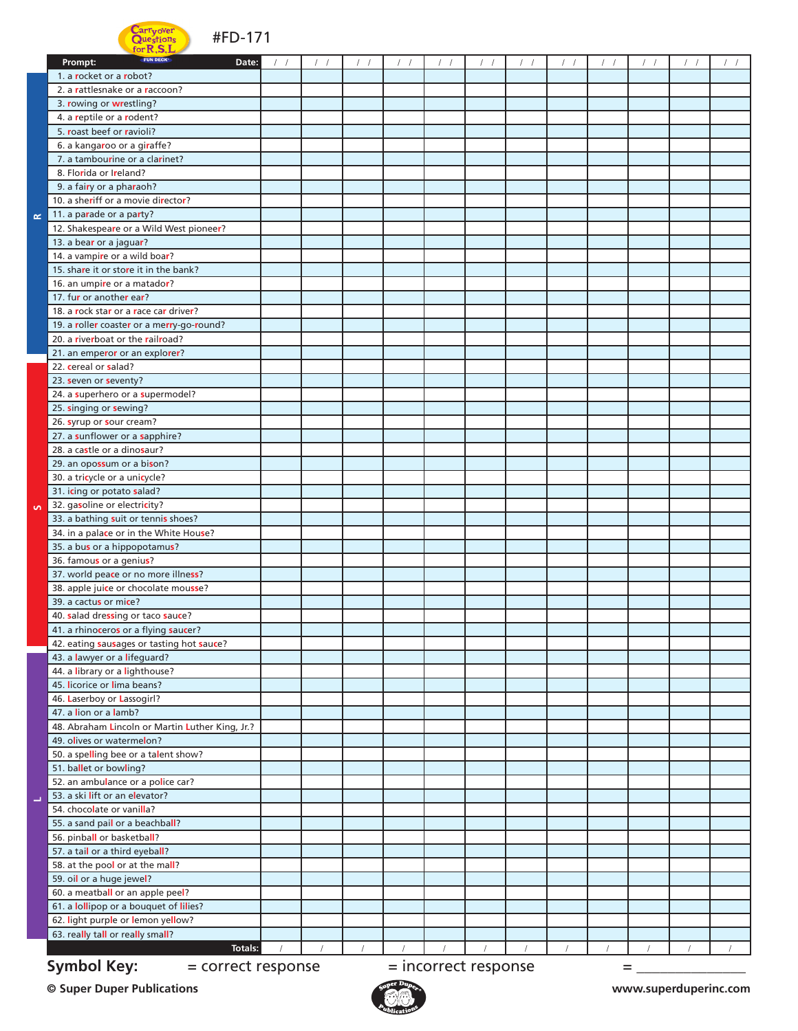## arr vover  $\bigcap$ ue tione

**R**

**S**

**L**



| $\blacksquare$ TOP $\blacksquare$<br>FUN DECK<br>Prompt:<br>Date: |  |  |                      |  |   |  |  |
|-------------------------------------------------------------------|--|--|----------------------|--|---|--|--|
|                                                                   |  |  |                      |  |   |  |  |
| 1. a rocket or a robot?                                           |  |  |                      |  |   |  |  |
| 2. a rattlesnake or a raccoon?                                    |  |  |                      |  |   |  |  |
| 3. rowing or wrestling?                                           |  |  |                      |  |   |  |  |
| 4. a reptile or a rodent?                                         |  |  |                      |  |   |  |  |
| 5. roast beef or ravioli?                                         |  |  |                      |  |   |  |  |
| 6. a kangaroo or a giraffe?                                       |  |  |                      |  |   |  |  |
| 7. a tambourine or a clarinet?                                    |  |  |                      |  |   |  |  |
| 8. Florida or Ireland?                                            |  |  |                      |  |   |  |  |
| 9. a fairy or a pharaoh?                                          |  |  |                      |  |   |  |  |
| 10. a sheriff or a movie director?                                |  |  |                      |  |   |  |  |
| 11. a parade or a party?                                          |  |  |                      |  |   |  |  |
| 12. Shakespeare or a Wild West pioneer?                           |  |  |                      |  |   |  |  |
| 13. a bear or a jaguar?                                           |  |  |                      |  |   |  |  |
| 14. a vampire or a wild boar?                                     |  |  |                      |  |   |  |  |
| 15. share it or store it in the bank?                             |  |  |                      |  |   |  |  |
| 16. an umpire or a matador?                                       |  |  |                      |  |   |  |  |
| 17. fur or another ear?                                           |  |  |                      |  |   |  |  |
| 18. a rock star or a race car driver?                             |  |  |                      |  |   |  |  |
| 19. a roller coaster or a merry-go-round?                         |  |  |                      |  |   |  |  |
| 20. a riverboat or the railroad?                                  |  |  |                      |  |   |  |  |
| 21. an emperor or an explorer?                                    |  |  |                      |  |   |  |  |
| 22. cereal or salad?                                              |  |  |                      |  |   |  |  |
| 23. seven or seventy?                                             |  |  |                      |  |   |  |  |
| 24. a superhero or a supermodel?                                  |  |  |                      |  |   |  |  |
| 25. singing or sewing?                                            |  |  |                      |  |   |  |  |
| 26. syrup or sour cream?                                          |  |  |                      |  |   |  |  |
| 27. a sunflower or a sapphire?                                    |  |  |                      |  |   |  |  |
| 28. a castle or a dinosaur?                                       |  |  |                      |  |   |  |  |
| 29. an opossum or a bison?                                        |  |  |                      |  |   |  |  |
| 30. a tricycle or a unicycle?                                     |  |  |                      |  |   |  |  |
| 31. icing or potato salad?                                        |  |  |                      |  |   |  |  |
| 32. gasoline or electricity?                                      |  |  |                      |  |   |  |  |
| 33. a bathing suit or tennis shoes?                               |  |  |                      |  |   |  |  |
| 34. in a palace or in the White House?                            |  |  |                      |  |   |  |  |
| 35. a bus or a hippopotamus?                                      |  |  |                      |  |   |  |  |
| 36. famous or a genius?                                           |  |  |                      |  |   |  |  |
| 37. world peace or no more illness?                               |  |  |                      |  |   |  |  |
| 38. apple juice or chocolate mousse?                              |  |  |                      |  |   |  |  |
| 39. a cactus or mice?                                             |  |  |                      |  |   |  |  |
| 40. salad dressing or taco sauce?                                 |  |  |                      |  |   |  |  |
| 41. a rhinoceros or a flying saucer?                              |  |  |                      |  |   |  |  |
| 42. eating sausages or tasting hot sauce?                         |  |  |                      |  |   |  |  |
| 43. a lawyer or a lifeguard?                                      |  |  |                      |  |   |  |  |
| 44. a library or a lighthouse?                                    |  |  |                      |  |   |  |  |
| 45. licorice or lima beans?                                       |  |  |                      |  |   |  |  |
| 46. Laserboy or Lassogirl?                                        |  |  |                      |  |   |  |  |
| 47. a lion or a lamb?                                             |  |  |                      |  |   |  |  |
| 48. Abraham Lincoln or Martin Luther King, Jr.?                   |  |  |                      |  |   |  |  |
| 49. olives or watermelon?                                         |  |  |                      |  |   |  |  |
| 50. a spelling bee or a talent show?                              |  |  |                      |  |   |  |  |
| 51. ballet or bowling?                                            |  |  |                      |  |   |  |  |
| 52. an ambulance or a police car?                                 |  |  |                      |  |   |  |  |
| 53. a ski lift or an elevator?                                    |  |  |                      |  |   |  |  |
| 54. chocolate or vanilla?                                         |  |  |                      |  |   |  |  |
| 55. a sand pail or a beachball?                                   |  |  |                      |  |   |  |  |
| 56. pinball or basketball?                                        |  |  |                      |  |   |  |  |
| 57. a tail or a third eyeball?                                    |  |  |                      |  |   |  |  |
| 58. at the pool or at the mall?                                   |  |  |                      |  |   |  |  |
| 59. oil or a huge jewel?                                          |  |  |                      |  |   |  |  |
| 60. a meatball or an apple peel?                                  |  |  |                      |  |   |  |  |
| 61. a lollipop or a bouquet of lilies?                            |  |  |                      |  |   |  |  |
| 62. light purple or lemon yellow?                                 |  |  |                      |  |   |  |  |
| 63. really tall or really small?                                  |  |  |                      |  |   |  |  |
| <b>Totals:</b>                                                    |  |  |                      |  |   |  |  |
| <b>Symbol Key:</b><br>= correct response                          |  |  | = incorrect response |  | = |  |  |
|                                                                   |  |  |                      |  |   |  |  |